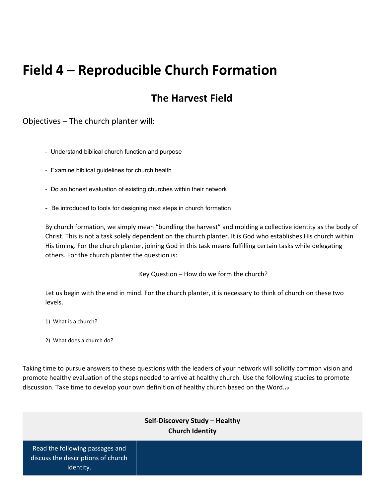# **Field 4 – Reproducible Church Formation**

# **The Harvest Field**

Objectives – The church planter will:

- Understand biblical church function and purpose
- Examine biblical guidelines for church health
- Do an honest evaluation of existing churches within their network
- Be introduced to tools for designing next steps in church formation

By church formation, we simply mean "bundling the harvest" and molding a collective identity as the body of Christ. This is not a task solely dependent on the church planter. It is God who establishes His church within His timing. For the church planter, joining God in this task means fulfilling certain tasks while delegating others. For the church planter the question is:

Key Question – How do we form the church?

Let us begin with the end in mind. For the church planter, it is necessary to think of church on these two levels.

- 1) What is a church?
- 2) What does a church do?

Taking time to pursue answers to these questions with the leaders of your network will solidify common vision and promote healthy evaluation of the steps needed to arrive at healthy church. Use the following studies to promote discussion. Take time to develop your own definition of healthy church based on the Word.<sup>29</sup>

#### **Self-Discovery Study – Healthy Church Identity**

Read the following passages and discuss the descriptions of church identity.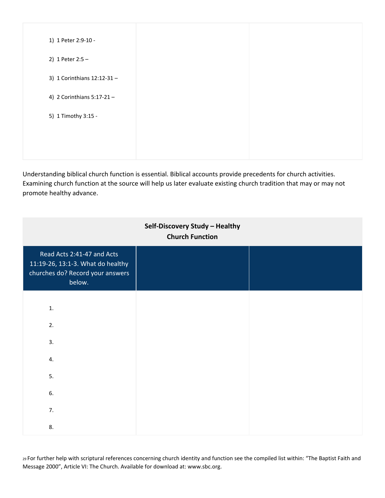| 1) 1 Peter 2:9-10 -        |  |
|----------------------------|--|
| 2) 1 Peter $2:5 -$         |  |
| 3) 1 Corinthians 12:12-31- |  |
| 4) 2 Corinthians 5:17-21-  |  |
| 5) 1 Timothy 3:15 -        |  |
|                            |  |
|                            |  |
|                            |  |

Understanding biblical church function is essential. Biblical accounts provide precedents for church activities. Examining church function at the source will help us later evaluate existing church tradition that may or may not promote healthy advance.

| Self-Discovery Study - Healthy<br><b>Church Function</b>                                                      |  |  |
|---------------------------------------------------------------------------------------------------------------|--|--|
| Read Acts 2:41-47 and Acts<br>11:19-26, 13:1-3. What do healthy<br>churches do? Record your answers<br>below. |  |  |
| $1.$                                                                                                          |  |  |
| 2.                                                                                                            |  |  |
| 3.                                                                                                            |  |  |
| 4.                                                                                                            |  |  |
| 5.                                                                                                            |  |  |
| 6.                                                                                                            |  |  |
| 7.                                                                                                            |  |  |
| 8.                                                                                                            |  |  |

<sup>29</sup> For further help with scriptural references concerning church identity and function see the compiled list within: "The Baptist Faith and Message 2000", Article VI: The Church. Available for download at: www.sbc.org.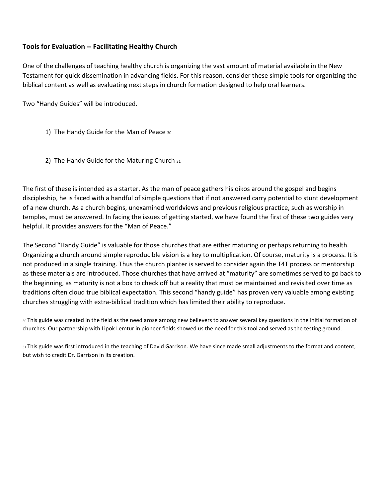#### **Tools for Evaluation Facilitating Healthy Church**

One of the challenges of teaching healthy church is organizing the vast amount of material available in the New Testament for quick dissemination in advancing fields. For this reason, consider these simple tools for organizing the biblical content as well as evaluating next steps in church formation designed to help oral learners.

Two "Handy Guides" will be introduced.

- 1) The Handy Guide for the Man of Peace <sup>30</sup>
- 2) The Handy Guide for the Maturing Church <sup>31</sup>

The first of these is intended as a starter. As the man of peace gathers his oikos around the gospel and begins discipleship, he is faced with a handful of simple questions that if not answered carry potential to stunt development of a new church. As a church begins, unexamined worldviews and previous religious practice, such as worship in temples, must be answered. In facing the issues of getting started, we have found the first of these two guides very helpful. It provides answers for the "Man of Peace."

The Second "Handy Guide" is valuable for those churches that are either maturing or perhaps returning to health. Organizing a church around simple reproducible vision is a key to multiplication. Of course, maturity is a process. It is not produced in a single training. Thus the church planter is served to consider again the T4T process or mentorship as these materials are introduced. Those churches that have arrived at "maturity" are sometimes served to go back to the beginning, as maturity is not a box to check off but a reality that must be maintained and revisited over time as traditions often cloud true biblical expectation. This second "handy guide" has proven very valuable among existing churches struggling with extra-biblical tradition which has limited their ability to reproduce.

<sup>30</sup> This guide was created in the field as the need arose among new believers to answer several key questions in the initial formation of churches. Our partnership with Lipok Lemtur in pioneer fields showed us the need for this tool and served as the testing ground.

31 This guide was first introduced in the teaching of David Garrison. We have since made small adjustments to the format and content, but wish to credit Dr. Garrison in its creation.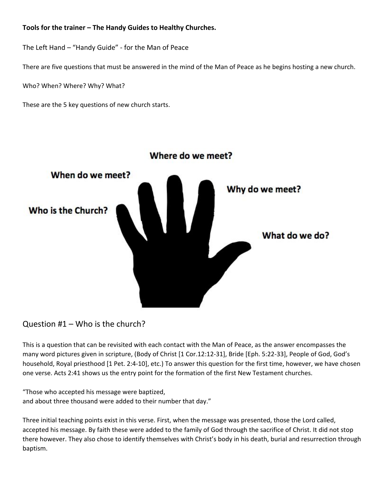#### **Tools for the trainer – The Handy Guides to Healthy Churches.**

The Left Hand – "Handy Guide" for the Man of Peace

There are five questions that must be answered in the mind of the Man of Peace as he begins hosting a new church.

Who? When? Where? Why? What?

These are the 5 key questions of new church starts.



#### Question #1 – Who is the church?

This is a question that can be revisited with each contact with the Man of Peace, as the answer encompasses the many word pictures given in scripture, (Body of Christ [1 Cor.12:12-31], Bride [Eph. 5:22-33], People of God, God's household, Royal priesthood [1 Pet. 2:4-10], etc.) To answer this question for the first time, however, we have chosen one verse. Acts 2:41 shows us the entry point for the formation of the first New Testament churches.

"Those who accepted his message were baptized, and about three thousand were added to their number that day."

Three initial teaching points exist in this verse. First, when the message was presented, those the Lord called, accepted his message. By faith these were added to the family of God through the sacrifice of Christ. It did not stop there however. They also chose to identify themselves with Christ's body in his death, burial and resurrection through baptism.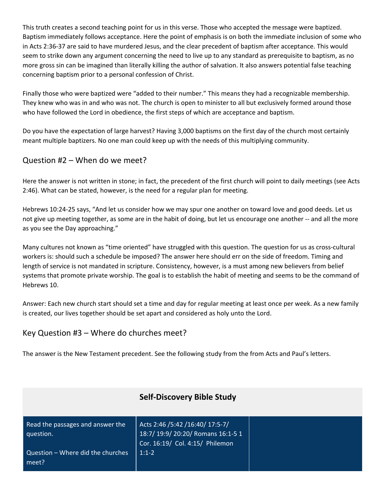This truth creates a second teaching point for us in this verse. Those who accepted the message were baptized. Baptism immediately follows acceptance. Here the point of emphasis is on both the immediate inclusion of some who in Acts 2:36-37 are said to have murdered Jesus, and the clear precedent of baptism after acceptance. This would seem to strike down any argument concerning the need to live up to any standard as prerequisite to baptism, as no more gross sin can be imagined than literally killing the author of salvation. It also answers potential false teaching concerning baptism prior to a personal confession of Christ.

Finally those who were baptized were "added to their number." This means they had a recognizable membership. They knew who was in and who was not. The church is open to minister to all but exclusively formed around those who have followed the Lord in obedience, the first steps of which are acceptance and baptism.

Do you have the expectation of large harvest? Having 3,000 baptisms on the first day of the church most certainly meant multiple baptizers. No one man could keep up with the needs of this multiplying community.

#### Question #2 – When do we meet?

Here the answer is not written in stone; in fact, the precedent of the first church will point to daily meetings (see Acts 2:46). What can be stated, however, is the need for a regular plan for meeting.

Hebrews 10:2425 says, "And let us consider how we may spur one another on toward love and good deeds. Let us not give up meeting together, as some are in the habit of doing, but let us encourage one another -- and all the more as you see the Day approaching."

Many cultures not known as "time oriented" have struggled with this question. The question for us as cross-cultural workers is: should such a schedule be imposed? The answer here should err on the side of freedom. Timing and length of service is not mandated in scripture. Consistency, however, is a must among new believers from belief systems that promote private worship. The goal is to establish the habit of meeting and seems to be the command of Hebrews 10.

Answer: Each new church start should set a time and day for regular meeting at least once per week. As a new family is created, our lives together should be set apart and considered as holy unto the Lord.

#### Key Question #3 – Where do churches meet?

The answer is the New Testament precedent. See the following study from the from Acts and Paul's letters.

|                                               | <b>Self-Discovery Bible Study</b>                                                                        |  |
|-----------------------------------------------|----------------------------------------------------------------------------------------------------------|--|
| Read the passages and answer the<br>question. | Acts 2:46 /5:42 /16:40/ 17:5-7/<br>18:7/ 19:9/ 20:20/ Romans 16:1-5 1<br>Cor. 16:19/ Col. 4:15/ Philemon |  |
| Question - Where did the churches<br>meet?    | $1:1-2$                                                                                                  |  |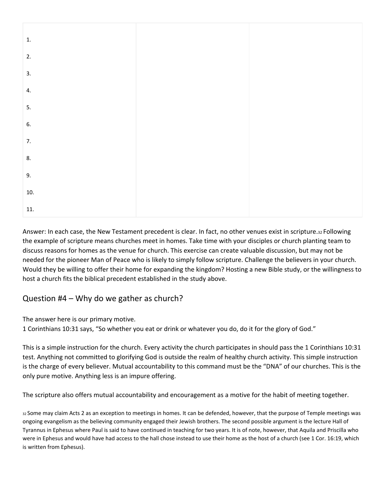| 1.    |  |
|-------|--|
| 2.    |  |
| 3.    |  |
| 4.    |  |
| 5.    |  |
| 6.    |  |
| 7.    |  |
| 8.    |  |
| 9.    |  |
| $10.$ |  |
| 11.   |  |

Answer: In each case, the New Testament precedent is clear. In fact, no other venues exist in scripture.<sup>32</sup> Following the example of scripture means churches meet in homes. Take time with your disciples or church planting team to discuss reasons for homes as the venue for church. This exercise can create valuable discussion, but may not be needed for the pioneer Man of Peace who is likely to simply follow scripture. Challenge the believers in your church. Would they be willing to offer their home for expanding the kingdom? Hosting a new Bible study, or the willingness to host a church fits the biblical precedent established in the study above.

## Question #4 – Why do we gather as church?

The answer here is our primary motive.

1 Corinthians 10:31 says, "So whether you eat or drink or whatever you do, do it for the glory of God."

This is a simple instruction for the church. Every activity the church participates in should pass the 1 Corinthians 10:31 test. Anything not committed to glorifying God is outside the realm of healthy church activity. This simple instruction is the charge of every believer. Mutual accountability to this command must be the "DNA" of our churches. This is the only pure motive. Anything less is an impure offering.

The scripture also offers mutual accountability and encouragement as a motive for the habit of meeting together.

<sup>32</sup> Some may claim Acts 2 as an exception to meetings in homes. It can be defended, however, that the purpose of Temple meetings was ongoing evangelism as the believing community engaged their Jewish brothers. The second possible argument is the lecture Hall of Tyrannus in Ephesus where Paul is said to have continued in teaching for two years. It is of note, however, that Aquila and Priscilla who were in Ephesus and would have had access to the hall chose instead to use their home as the host of a church (see 1 Cor. 16:19, which is written from Ephesus).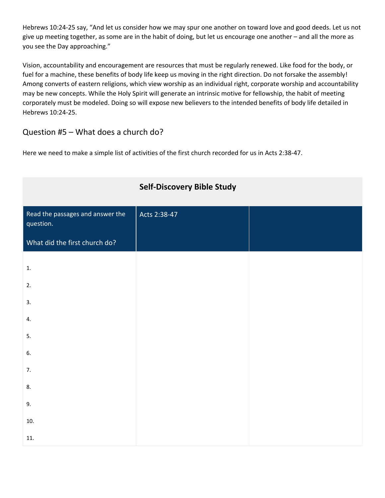Hebrews 10:2425 say, "And let us consider how we may spur one another on toward love and good deeds. Let us not give up meeting together, as some are in the habit of doing, but let us encourage one another – and all the more as you see the Day approaching."

Vision, accountability and encouragement are resources that must be regularly renewed. Like food for the body, or fuel for a machine, these benefits of body life keep us moving in the right direction. Do not forsake the assembly! Among converts of eastern religions, which view worship as an individual right, corporate worship and accountability may be new concepts. While the Holy Spirit will generate an intrinsic motive for fellowship, the habit of meeting corporately must be modeled. Doing so will expose new believers to the intended benefits of body life detailed in Hebrews 10:24-25.

### Question #5 – What does a church do?

Here we need to make a simple list of activities of the first church recorded for us in Acts 2:3847.

|                                               | <b>Self-Discovery Bible Study</b> |  |
|-----------------------------------------------|-----------------------------------|--|
| Read the passages and answer the<br>question. | Acts 2:38-47                      |  |
| What did the first church do?                 |                                   |  |
| 1.                                            |                                   |  |
| 2.                                            |                                   |  |
| 3.                                            |                                   |  |
| 4.                                            |                                   |  |
| 5.                                            |                                   |  |
| 6.                                            |                                   |  |
| 7.                                            |                                   |  |
| 8.                                            |                                   |  |
| 9.                                            |                                   |  |
| 10.                                           |                                   |  |
| 11.                                           |                                   |  |